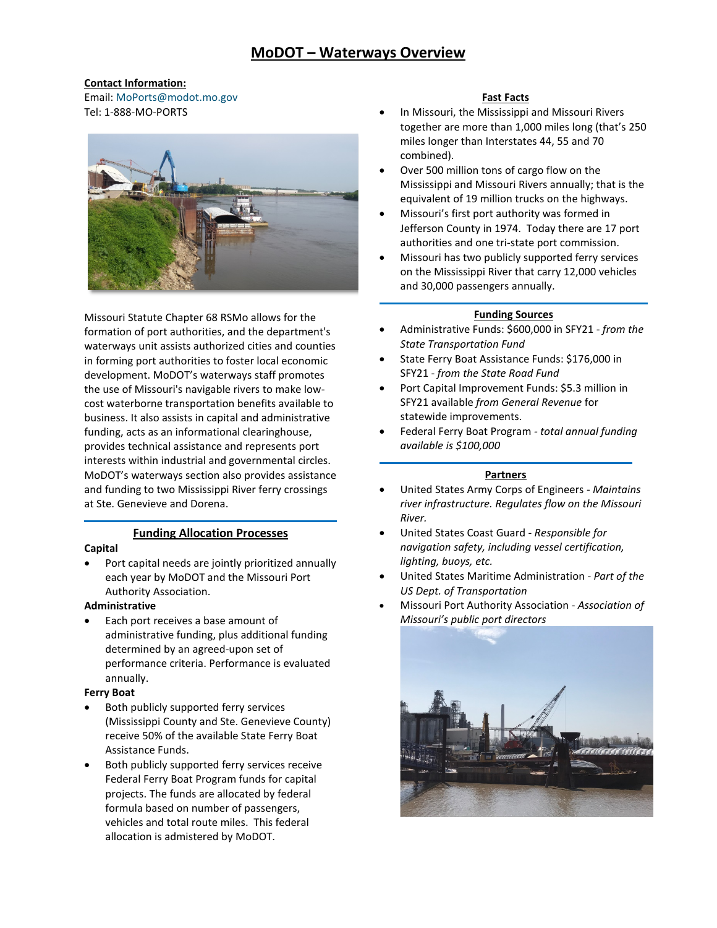# **Contact Information:**

Email: [MoPorts@modot.mo.gov](mailto:MoPorts@modot.mo.gov)  Tel: 1-888-MO-PORTS



Missouri Statute Chapter 68 RSMo allows for the formation of port authorities, and the department's waterways unit assists authorized cities and counties in forming port authorities to foster local economic development. MoDOT's waterways staff promotes the use of Missouri's navigable rivers to make lowcost waterborne transportation benefits available to business. It also assists in capital and administrative funding, acts as an informational clearinghouse, provides technical assistance and represents port interests within industrial and governmental circles. MoDOT's waterways section also provides assistance and funding to two Mississippi River ferry crossings at Ste. Genevieve and Dorena. Like Mosterstore (See the Mission Control and the Mission of the Mission of the Mission of the Mission of the Mission of the Mission of the Mission of the Mission of the Mission of the Mission of the Mission of the Mission

# **Funding Allocation Processes**

## **Capital**

• Port capital needs are jointly prioritized annually each year by MoDOT and the Missouri Port Authority Association.

## **Administrative**

• Each port receives a base amount of administrative funding, plus additional funding determined by an agreed-upon set of performance criteria. Performance is evaluated annually.

### **Ferry Boat**

- Both publicly supported ferry services (Mississippi County and Ste. Genevieve County) receive 50% of the available State Ferry Boat Assistance Funds.
- vehicles and total route miles. This federal allocation is admistered by MoDOT. Both publicly supported ferry services receive Federal Ferry Boat Program funds for capital projects. The funds are allocated by federal formula based on number of passengers,

- In Missouri, the Mississippi and Missouri Rivers together are more than 1,000 miles long (that's 250 miles longer than Interstates 44, 55 and 70 combined).
- Over 500 million tons of cargo flow on the Mississippi and Missouri Rivers annually; that is the equivalent of 19 million trucks on the highways.
- Missouri's first port authority was formed in Jefferson County in 1974. Today there are 17 port authorities and one tri-state port commission.
- Missouri has two publicly supported ferry services on the Mississippi River that carry 12,000 vehicles and 30,000 passengers annually.

## **Funding Sources**

- • Administrative Funds: \$600,000 in SFY21 *from the State Transportation Fund*
- SFY21 *from the State Road Fund*  • State Ferry Boat Assistance Funds: \$176,000 in
- • Port Capital Improvement Funds: \$5.3 million in statewide improvements. SFY21 available *from General Revenue* for
- Federal Ferry Boat Program  *total annual funding available is \$100,000*

# **Partners**

- • United States Army Corps of Engineers *Maintains river infrastructure. Regulates flow on the Missouri River.*
- • United States Coast Guard *Responsible for navigation safety, including vessel certification, lighting, buoys, etc.*
- • United States Maritime Administration *Part of the US Dept. of Transportation*
- • Missouri Port Authority Association *Association of Missouri's public port directors*